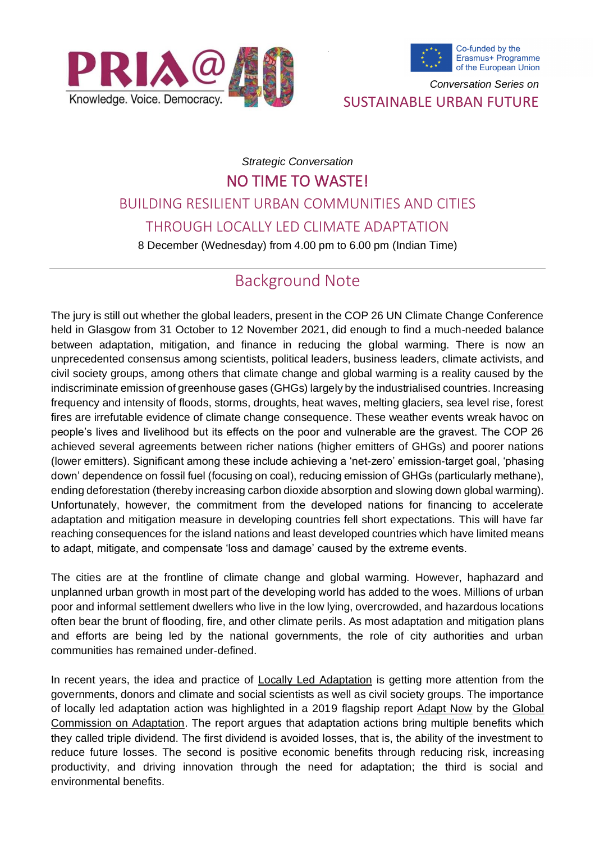



*Conversation Series on*

SUSTAINABLE URBAN FUTURE

# *Strategic Conversation* NO TIME TO WASTE! BUILDING RESILIENT URBAN COMMUNITIES AND CITIES THROUGH LOCALLY LED CLIMATE ADAPTATION

8 December (Wednesday) from 4.00 pm to 6.00 pm (Indian Time)

## Background Note

The jury is still out whether the global leaders, present in the COP 26 UN Climate Change Conference held in Glasgow from 31 October to 12 November 2021, did enough to find a much-needed balance between adaptation, mitigation, and finance in reducing the global warming. There is now an unprecedented consensus among scientists, political leaders, business leaders, climate activists, and civil society groups, among others that climate change and global warming is a reality caused by the indiscriminate emission of greenhouse gases (GHGs) largely by the industrialised countries. Increasing frequency and intensity of floods, storms, droughts, heat waves, melting glaciers, sea level rise, forest fires are irrefutable evidence of climate change consequence. These weather events wreak havoc on people's lives and livelihood but its effects on the poor and vulnerable are the gravest. The COP 26 achieved several agreements between richer nations (higher emitters of GHGs) and poorer nations (lower emitters). Significant among these include achieving a 'net-zero' emission-target goal, 'phasing down' dependence on fossil fuel (focusing on coal), reducing emission of GHGs (particularly methane), ending deforestation (thereby increasing carbon dioxide absorption and slowing down global warming). Unfortunately, however, the commitment from the developed nations for financing to accelerate adaptation and mitigation measure in developing countries fell short expectations. This will have far reaching consequences for the island nations and least developed countries which have limited means to adapt, mitigate, and compensate 'loss and damage' caused by the extreme events.

The cities are at the frontline of climate change and global warming. However, haphazard and unplanned urban growth in most part of the developing world has added to the woes. Millions of urban poor and informal settlement dwellers who live in the low lying, overcrowded, and hazardous locations often bear the brunt of flooding, fire, and other climate perils. As most adaptation and mitigation plans and efforts are being led by the national governments, the role of city authorities and urban communities has remained under-defined.

In recent years, the idea and practice of [Locally Led Adaptation](https://www.iied.org/principles-for-locally-led-adaptation) is getting more attention from the governments, donors and climate and social scientists as well as civil society groups. The importance of locally led adaptation action was highlighted in a 2019 flagship report [Adapt Now](https://gca.org/wp-content/uploads/2019/09/GlobalCommission_Report_FINAL.pdf) by the Global [Commission on Adaptation.](https://www.wri.org/initiatives/global-commission-adaptation) The report argues that adaptation actions bring multiple benefits which they called triple dividend. The first dividend is avoided losses, that is, the ability of the investment to reduce future losses. The second is positive economic benefits through reducing risk, increasing productivity, and driving innovation through the need for adaptation; the third is social and environmental benefits.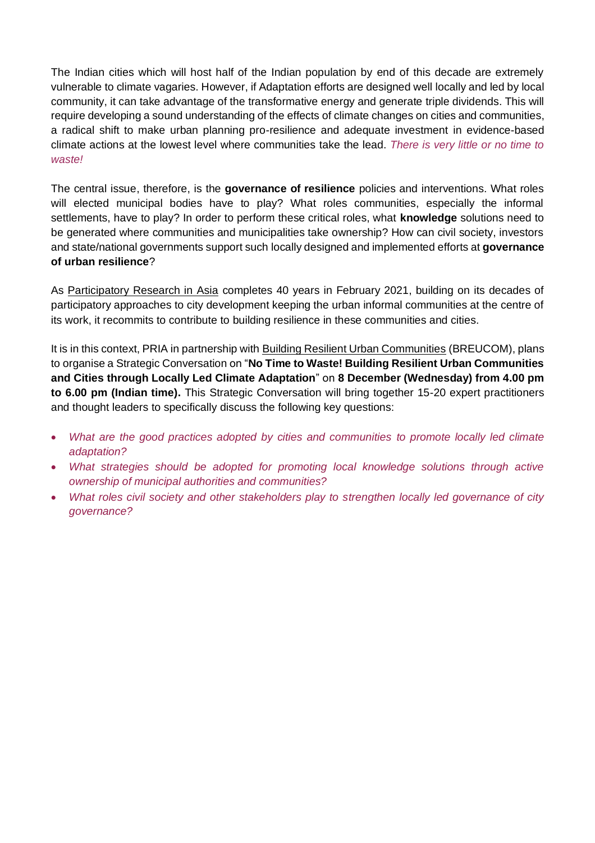The Indian cities which will host half of the Indian population by end of this decade are extremely vulnerable to climate vagaries. However, if Adaptation efforts are designed well locally and led by local community, it can take advantage of the transformative energy and generate triple dividends. This will require developing a sound understanding of the effects of climate changes on cities and communities, a radical shift to make urban planning pro-resilience and adequate investment in evidence-based climate actions at the lowest level where communities take the lead. *There is very little or no time to waste!*

The central issue, therefore, is the **governance of resilience** policies and interventions. What roles will elected municipal bodies have to play? What roles communities, especially the informal settlements, have to play? In order to perform these critical roles, what **knowledge** solutions need to be generated where communities and municipalities take ownership? How can civil society, investors and state/national governments support such locally designed and implemented efforts at **governance of urban resilience**?

As [Participatory Research in Asia](https://pria.org/) completes 40 years in February 2021, building on its decades of participatory approaches to city development keeping the urban informal communities at the centre of its work, it recommits to contribute to building resilience in these communities and cities.

It is in this context, PRIA in partnership with [Building Resilient Urban Communities](https://www.breucom.eu/) (BREUCOM), plans to organise a Strategic Conversation on "**No Time to Waste! Building Resilient Urban Communities and Cities through Locally Led Climate Adaptation**" on **8 December (Wednesday) from 4.00 pm to 6.00 pm (Indian time).** This Strategic Conversation will bring together 15-20 expert practitioners and thought leaders to specifically discuss the following key questions:

- *What are the good practices adopted by cities and communities to promote locally led climate adaptation?*
- *What strategies should be adopted for promoting local knowledge solutions through active ownership of municipal authorities and communities?*
- *What roles civil society and other stakeholders play to strengthen locally led governance of city governance?*